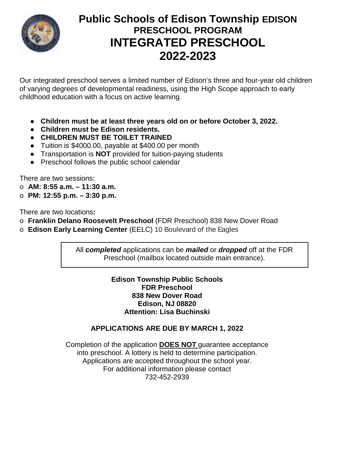

# **Public Schools of Edison Township EDISON PRESCHOOL PROGRAM INTEGRATED PRESCHOOL 2022-2023**

Our integrated preschool serves a limited number of Edison's three and four-year old children of varying degrees of developmental readiness, using the High Scope approach to early childhood education with a focus on active learning.

- **Children must be at least three years old on or before October 3, 2022.**
- **Children must be Edison residents.**
- **CHILDREN MUST BE TOILET TRAINED**
- Tuition is \$4000.00, payable at \$400.00 per month
- Transportation is **NOT** provided for tuition-paying students
- Preschool follows the public school calendar

There are two sessions:

- o **AM: 8:55 a.m. – 11:30 a.m.**
- o **PM: 12:55 p.m. – 3:30 p.m.**

There are two locations**:** 

- o **Franklin Delano Roosevelt Preschool** (FDR Preschool) 838 New Dover Road
- o **Edison Early Learning Center** (EELC) 10 Boulevard of the Eagles

All *completed* applications can be *mailed* or *dropped* off at the FDR Preschool (mailbox located outside main entrance).

#### **Edison Township Public Schools FDR Preschool 838 New Dover Road Edison, NJ 08820 Attention: Lisa Buchinski**

## **APPLICATIONS ARE DUE BY MARCH 1, 2022**

Completion of the application **DOES NOT** guarantee acceptance into preschool. A lottery is held to determine participation. Applications are accepted throughout the school year. For additional information please contact 732-452-2939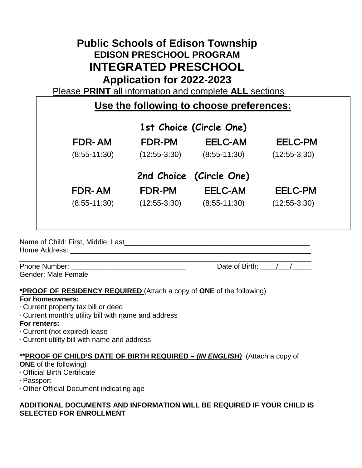# **Public Schools of Edison Township EDISON PRESCHOOL PROGRAM INTEGRATED PRESCHOOL Application for 2022-2023**

Please **PRINT** all information and complete **ALL** sections

| Use the following to choose preferences: |                |                |                |  |  |
|------------------------------------------|----------------|----------------|----------------|--|--|
| 1st Choice (Circle One)                  |                |                |                |  |  |
| FDR-AM                                   | <b>FDR-PM</b>  | EELC-AM        | <b>EELC-PM</b> |  |  |
| $(8:55-11:30)$                           | $(12:55-3:30)$ | $(8:55-11:30)$ | $(12:55-3:30)$ |  |  |
| 2nd Choice (Circle One)                  |                |                |                |  |  |
| <b>FDR-AM</b>                            | FDR-PM         | <b>EELC-AM</b> | <b>EELC-PM</b> |  |  |
| $(8:55-11:30)$                           | $(12:55-3:30)$ | $(8:55-11:30)$ | $(12:55-3:30)$ |  |  |
|                                          |                |                |                |  |  |
|                                          |                |                |                |  |  |

Name of Child: First, Middle, Last\_\_\_\_\_\_\_\_\_\_\_\_\_\_\_\_\_\_\_\_\_\_\_\_\_\_\_\_\_\_\_\_\_\_\_\_\_\_\_\_\_\_\_\_\_\_\_ Home Address: \_\_\_\_\_\_\_\_\_\_\_\_\_\_\_\_\_\_\_\_\_\_\_\_\_\_\_\_\_\_\_\_\_\_\_\_\_\_\_\_\_\_\_\_\_\_\_\_\_\_\_\_\_\_\_\_\_\_\_\_\_

Gender: Male Female

\_\_\_\_\_\_\_\_\_\_\_\_\_\_\_\_\_\_\_\_\_\_\_\_\_\_\_\_\_\_\_\_\_\_\_\_\_\_\_\_\_\_\_\_\_\_\_\_\_\_\_\_\_\_\_\_\_\_\_\_\_\_\_\_\_\_\_\_\_\_\_\_\_\_ Phone Number: \_\_\_\_\_\_\_\_\_\_\_\_\_\_\_\_\_\_\_\_\_\_\_\_\_\_\_\_\_ Date of Birth: \_\_\_\_/\_\_\_/\_\_\_\_\_

**\*PROOF OF RESIDENCY REQUIRED** (Attach a copy of **ONE** of the following)

## **For homeowners:**

- ∙ Current property tax bill or deed
- ∙ Current month's utility bill with name and address

## **For renters:**

- ∙ Current (not expired) lease
- ∙ Current utility bill with name and address

# **\*\*PROOF OF CHILD'S DATE OF BIRTH REQUIRED –** *(IN ENGLISH)* (Attach a copy of

## **ONE** of the following)

- ∙ Official Birth Certificate
- ∙ Passport
- ∙ Other Official Document indicating age

## **ADDITIONAL DOCUMENTS AND INFORMATION WILL BE REQUIRED IF YOUR CHILD IS SELECTED FOR ENROLLMENT**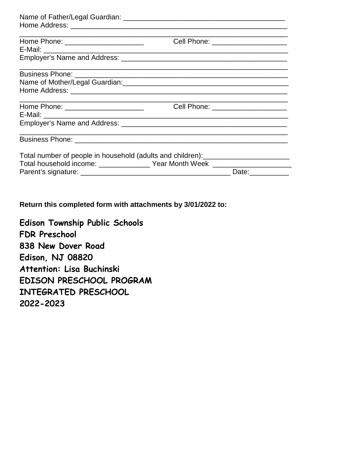|                                                                                  | Cell Phone: _______________________ |
|----------------------------------------------------------------------------------|-------------------------------------|
|                                                                                  |                                     |
|                                                                                  |                                     |
|                                                                                  |                                     |
|                                                                                  |                                     |
|                                                                                  |                                     |
|                                                                                  | Cell Phone: ______________________  |
|                                                                                  |                                     |
|                                                                                  |                                     |
|                                                                                  |                                     |
| Total number of people in household (adults and children): _____________________ |                                     |
| Total household income: _________________ Year Month Week ______________________ |                                     |
|                                                                                  | Date:                               |

**Return this completed form with attachments by 3/01/2022 to:** 

**Edison Township Public Schools FDR Preschool 838 New Dover Road Edison, NJ 08820 Attention: Lisa Buchinski EDISON PRESCHOOL PROGRAM INTEGRATED PRESCHOOL 2022-2023**